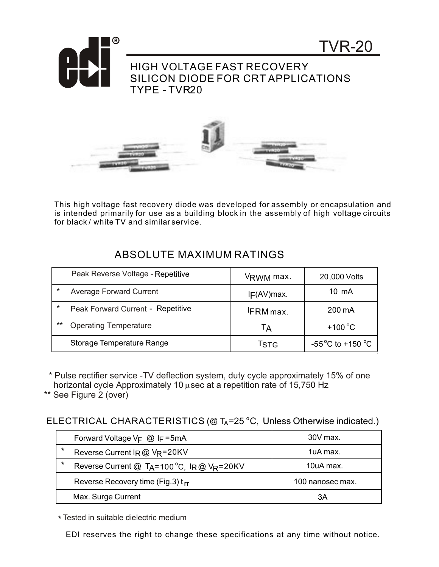

This high voltage fast recovery diode was developed for assembly or encapsulation and is intended primarily for use as a building block in the assembly of high voltage circuits for black / white TV and similar service.

|         | Peak Reverse Voltage - Repetitive | VRWM max.       | 20,000 Volts                          |
|---------|-----------------------------------|-----------------|---------------------------------------|
| $\ast$  | <b>Average Forward Current</b>    | IF(AV)max.      | $10 \text{ mA}$                       |
| $\star$ | Peak Forward Current - Repetitive | <b>FRM</b> max. | 200 mA                                |
| $***$   | <b>Operating Temperature</b>      | Tд              | $+100^{\circ}$ C                      |
|         | Storage Temperature Range         | <b>T</b> stG    | -55 $^{\circ}$ C to +150 $^{\circ}$ C |

 \* Pulse rectifier service -TV deflection system, duty cycle approximately 15% of one horizontal cycle Approximately 10 usec at a repetition rate of 15,750 Hz

\*\* See Figure 2 (over)

ELECTRICAL CHARACTERISTICS (@  $T_A = 25$  °C, Unless Otherwise indicated.)

|         | Forward Voltage $V_F$ @ IF=5mA                          | 30V max.         |
|---------|---------------------------------------------------------|------------------|
| $\star$ | Reverse Current IR @ VR=20KV                            | 1uA max.         |
| $\star$ | Reverse Current @ T <sub>A</sub> =100 °C, $IR@V_R=20KV$ | $10uA$ max.      |
|         | Reverse Recovery time (Fig.3) t <sub>rr</sub>           | 100 nanosec max. |
|         | Max. Surge Current                                      | ЗA               |

\* Tested in suitable dielectric medium

EDI reserves the right to change these specifications at any time without notice.